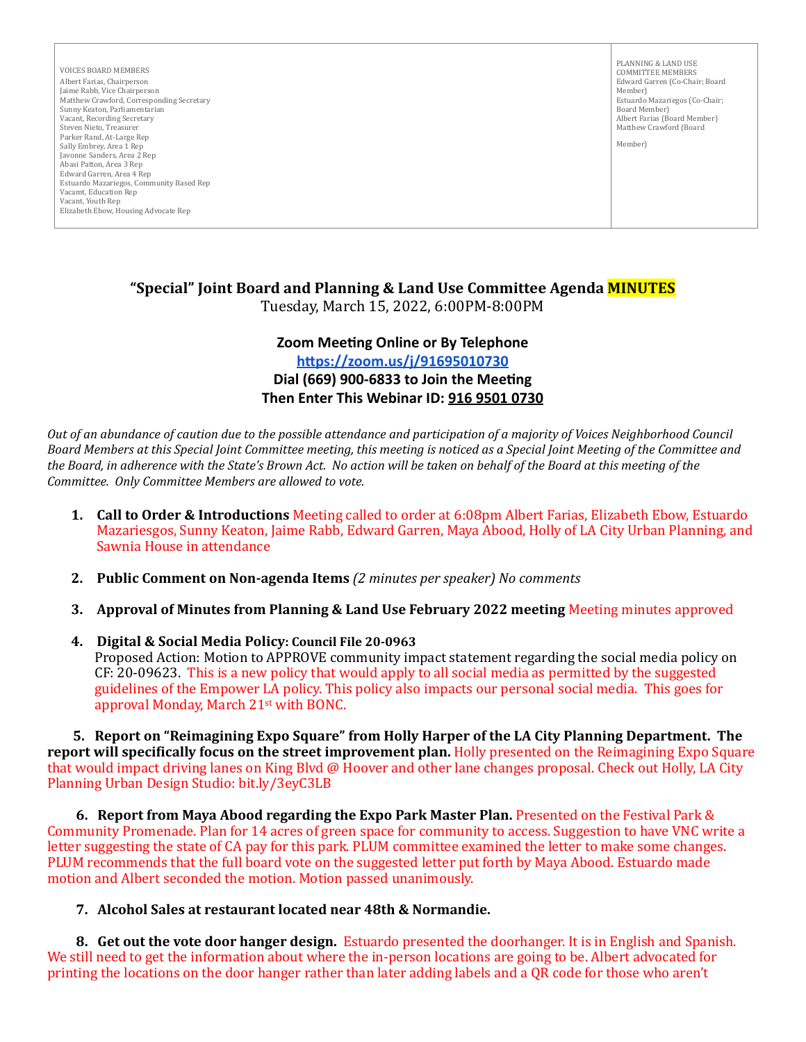VOICES BOARD MEMBERS Albert Farias, Chairperson Jaime Rabb, Vice Chairperson Matthew Crawford, Corresponding Secretary Sunny Keaton, Parliamentarian Vacant, Recording Secretary Steven Nieto, Treasurer Parker Rand, At-Large Rep Sally Embrey, Area 1 Rep Javonne Sanders, Area 2 Rep Abasi Patton, Area 3 Rep Edward Garren, Area 4 Rep Estuardo Mazariegos, Community Based Rep Vacamt, Education Rep Vacant, Youth Rep Elizabeth Ebow, Housing Advocate Rep

PLANNING & LAND USE COMMITTEE MEMBERS Edward Garren (Co-Chair; Board Member) Estuardo Mazariegos (Co-Chair; Board Member) Albert Farias (Board Member) Matthew Crawford (Board

Member)

## **"Special" Joint Board and Planning & Land Use Committee Agenda MINUTES** Tuesday, March 15, 2022, 6:00PM-8:00PM

# **Zoom Meeting Online or By Telephone <https://zoom.us/j/91695010730> Dial (669) 900-6833 to Join the Meeting** Then Enter This Webinar ID: 916 9501 0730

*Out* of an abundance of caution due to the possible attendance and participation of a majority of Voices Neighborhood Council Board Members at this Special Joint Committee meeting, this meeting is noticed as a Special Joint Meeting of the Committee and the Board, in adherence with the State's Brown Act. No action will be taken on behalf of the Board at this meeting of the *Committee. Only Committee Members are allowed to vote.*

- **1. Call to Order & Introductions** Meeting called to order at 6:08pm Albert Farias, Elizabeth Ebow, Estuardo Mazariesgos, Sunny Keaton, Jaime Rabb, Edward Garren, Maya Abood, Holly of LA City Urban Planning, and Sawnia House in attendance
- **2.** Public Comment on Non-agenda Items (2 minutes per speaker) No comments
- **3. Approval of Minutes from Planning & Land Use February 2022 meeting Meeting minutes approved**
- **4. Digital & Social Media Policy: Council File 20-0963** Proposed Action: Motion to APPROVE community impact statement regarding the social media policy on  $CF: 20-09623$ . This is a new policy that would apply to all social media as permitted by the suggested guidelines of the Empower LA policy. This policy also impacts our personal social media. This goes for approval Monday, March 21<sup>st</sup> with BONC.

**5.** Report on "Reimagining Expo Square" from Holly Harper of the LA City Planning Department. The **report will specifically focus on the street improvement plan.** Holly presented on the Reimagining Expo Square that would impact driving lanes on King Blvd @ Hoover and other lane changes proposal. Check out Holly, LA City Planning Urban Design Studio: bit.ly/3eyC3LB

**6. Report from Maya Abood regarding the Expo Park Master Plan.** Presented on the Festival Park & Community Promenade. Plan for 14 acres of green space for community to access. Suggestion to have VNC write a letter suggesting the state of CA pay for this park. PLUM committee examined the letter to make some changes. PLUM recommends that the full board vote on the suggested letter put forth by Maya Abood. Estuardo made motion and Albert seconded the motion. Motion passed unanimously.

### **7. Alcohol Sales at restaurant located near 48th & Normandie.**

**8.** Get out the vote door hanger design. Estuardo presented the doorhanger. It is in English and Spanish. We still need to get the information about where the in-person locations are going to be. Albert advocated for printing the locations on the door hanger rather than later adding labels and a QR code for those who aren't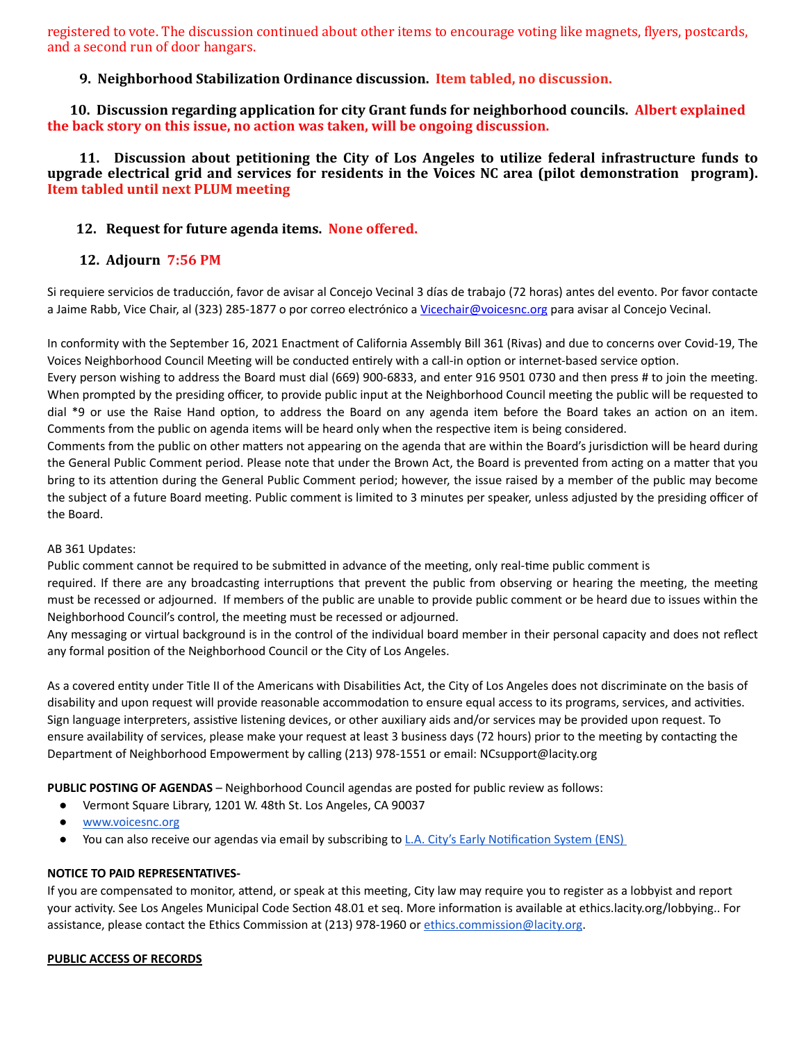registered to vote. The discussion continued about other items to encourage voting like magnets, flyers, postcards, and a second run of door hangars.

### **9. Neighborhood Stabilization Ordinance discussion. Item tabled, no discussion.**

**10. Discussion regarding application for city Grant funds for neighborhood councils. Albert explained the back story on this issue, no action was taken, will be ongoing discussion.** 

**11.** Discussion about petitioning the City of Los Angeles to utilize federal infrastructure funds to **upgrade electrical grid and services for residents in the Voices NC area (pilot demonstration \ program). Item tabled until next PLUM meeting** 

### **12. Request for future agenda items. None offered.**

## **12. Adjourn 7:56 PM**

Si requiere servicios de traducción, favor de avisar al Concejo Vecinal 3 días de trabajo (72 horas) antes del evento. Por favor contacte a Jaime Rabb, Vice Chair, al (323) 285-1877 o por correo electrónico a Vicechair@voicesnc.org para avisar al Concejo Vecinal.

In conformity with the September 16, 2021 Enactment of California Assembly Bill 361 (Rivas) and due to concerns over Covid-19, The Voices Neighborhood Council Meeting will be conducted entirely with a call-in option or internet-based service option.

Every person wishing to address the Board must dial (669) 900-6833, and enter 916 9501 0730 and then press # to join the meeting. When prompted by the presiding officer, to provide public input at the Neighborhood Council meeting the public will be requested to dial \*9 or use the Raise Hand option, to address the Board on any agenda item before the Board takes an action on an item. Comments from the public on agenda items will be heard only when the respective item is being considered.

Comments from the public on other matters not appearing on the agenda that are within the Board's jurisdiction will be heard during the General Public Comment period. Please note that under the Brown Act, the Board is prevented from acting on a matter that you bring to its attention during the General Public Comment period; however, the issue raised by a member of the public may become the subject of a future Board meeting. Public comment is limited to 3 minutes per speaker, unless adjusted by the presiding officer of the Board.

#### AB 361 Updates:

Public comment cannot be required to be submitted in advance of the meeting, only real-time public comment is required. If there are any broadcasting interruptions that prevent the public from observing or hearing the meeting, the meeting must be recessed or adjourned. If members of the public are unable to provide public comment or be heard due to issues within the Neighborhood Council's control, the meeting must be recessed or adjourned.

Any messaging or virtual background is in the control of the individual board member in their personal capacity and does not reflect any formal position of the Neighborhood Council or the City of Los Angeles.

As a covered entity under Title II of the Americans with Disabilities Act, the City of Los Angeles does not discriminate on the basis of disability and upon request will provide reasonable accommodation to ensure equal access to its programs, services, and activities. Sign language interpreters, assistive listening devices, or other auxiliary aids and/or services may be provided upon request. To ensure availability of services, please make your request at least 3 business days (72 hours) prior to the meeting by contacting the Department of Neighborhood Empowerment by calling (213) 978-1551 or email: NCsupport@lacity.org

**PUBLIC POSTING OF AGENDAS** – Neighborhood Council agendas are posted for public review as follows:

- Vermont Square Library, 1201 W. 48th St. Los Angeles, CA 90037
- [www.voicesnc.org](http://www.voicesnc.org)
- You can also receive our agendas via email by subscribing to L.A. City's Early Notification System (ENS)

#### **NOTICE TO PAID REPRESENTATIVES-**

If you are compensated to monitor, attend, or speak at this meeting, City law may require you to register as a lobbyist and report your activity. See Los Angeles Municipal Code Section 48.01 et seq. More information is available at ethics.lacity.org/lobbying.. For assistance, please contact the Ethics Commission at (213) 978-1960 or ethics.commission@lacity.org.

#### **PUBLIC ACCESS OF RECORDS**